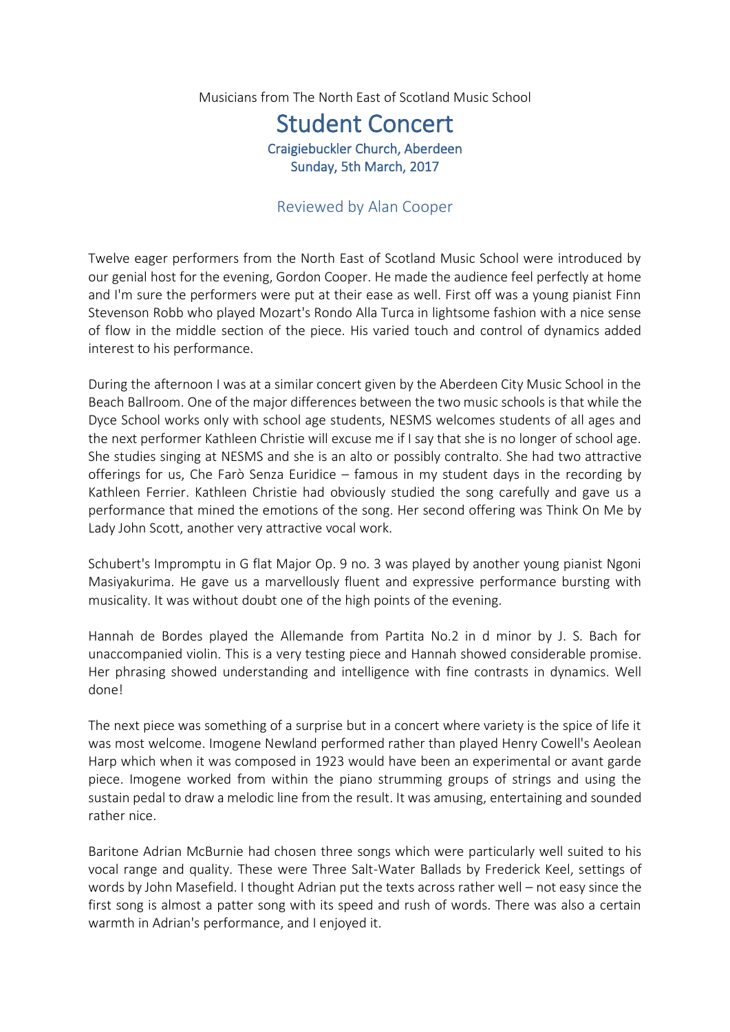Musicians from The North East of Scotland Music School

## Student Concert Craigiebuckler Church, Aberdeen Sunday, 5th March, 2017

## Reviewed by Alan Cooper

Twelve eager performers from the North East of Scotland Music School were introduced by our genial host for the evening, Gordon Cooper. He made the audience feel perfectly at home and I'm sure the performers were put at their ease as well. First off was a young pianist Finn Stevenson Robb who played Mozart's Rondo Alla Turca in lightsome fashion with a nice sense of flow in the middle section of the piece. His varied touch and control of dynamics added interest to his performance.

During the afternoon I was at a similar concert given by the Aberdeen City Music School in the Beach Ballroom. One of the major differences between the two music schools is that while the Dyce School works only with school age students, NESMS welcomes students of all ages and the next performer Kathleen Christie will excuse me if I say that she is no longer of school age. She studies singing at NESMS and she is an alto or possibly contralto. She had two attractive offerings for us, Che Farò Senza Euridice – famous in my student days in the recording by Kathleen Ferrier. Kathleen Christie had obviously studied the song carefully and gave us a performance that mined the emotions of the song. Her second offering was Think On Me by Lady John Scott, another very attractive vocal work.

Schubert's Impromptu in G flat Major Op. 9 no. 3 was played by another young pianist Ngoni Masiyakurima. He gave us a marvellously fluent and expressive performance bursting with musicality. It was without doubt one of the high points of the evening.

Hannah de Bordes played the Allemande from Partita No.2 in d minor by J. S. Bach for unaccompanied violin. This is a very testing piece and Hannah showed considerable promise. Her phrasing showed understanding and intelligence with fine contrasts in dynamics. Well done!

The next piece was something of a surprise but in a concert where variety is the spice of life it was most welcome. Imogene Newland performed rather than played Henry Cowell's Aeolean Harp which when it was composed in 1923 would have been an experimental or avant garde piece. Imogene worked from within the piano strumming groups of strings and using the sustain pedal to draw a melodic line from the result. It was amusing, entertaining and sounded rather nice.

Baritone Adrian McBurnie had chosen three songs which were particularly well suited to his vocal range and quality. These were Three Salt-Water Ballads by Frederick Keel, settings of words by John Masefield. I thought Adrian put the texts across rather well – not easy since the first song is almost a patter song with its speed and rush of words. There was also a certain warmth in Adrian's performance, and I enjoyed it.